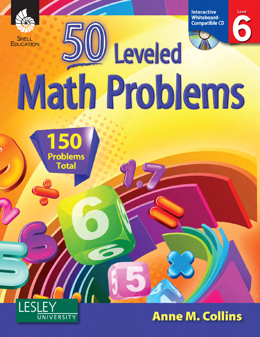

**Interactive Whiteboard-Compatible CD** 



Level

# Leveled Math Problems





**Anne M. Collins**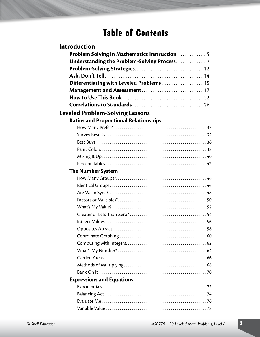# **Table of Contents**

| Introduction                                        |
|-----------------------------------------------------|
| <b>Problem Solving in Mathematics Instruction</b> 5 |
|                                                     |
|                                                     |
|                                                     |
| Differentiating with Leveled Problems  15           |
|                                                     |
|                                                     |
|                                                     |
| <b>Leveled Problem-Solving Lessons</b>              |
| <b>Ratios and Proportional Relationships</b>        |
|                                                     |
|                                                     |
|                                                     |
|                                                     |
|                                                     |
|                                                     |
| <b>The Number System</b>                            |
|                                                     |
|                                                     |
|                                                     |
|                                                     |
|                                                     |
|                                                     |
|                                                     |
|                                                     |
|                                                     |
|                                                     |
|                                                     |
|                                                     |
|                                                     |
|                                                     |
| <b>Expressions and Equations</b>                    |
|                                                     |
|                                                     |
|                                                     |
|                                                     |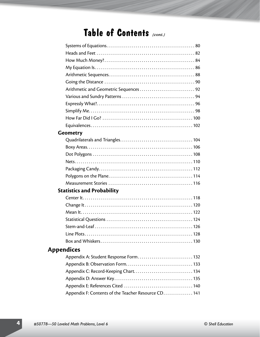# **Table of Contents** *(cont.)*

| <b>Geometry</b>   |                                                     |  |
|-------------------|-----------------------------------------------------|--|
|                   |                                                     |  |
|                   |                                                     |  |
|                   |                                                     |  |
|                   |                                                     |  |
|                   |                                                     |  |
|                   |                                                     |  |
|                   |                                                     |  |
|                   | <b>Statistics and Probability</b>                   |  |
|                   |                                                     |  |
|                   |                                                     |  |
|                   |                                                     |  |
|                   |                                                     |  |
|                   |                                                     |  |
|                   | <b>Line Plots</b><br>128                            |  |
|                   |                                                     |  |
| <b>Appendices</b> |                                                     |  |
|                   | Appendix A: Student Response Form 132               |  |
|                   |                                                     |  |
|                   |                                                     |  |
|                   |                                                     |  |
|                   |                                                     |  |
|                   | Appendix F: Contents of the Teacher Resource CD 141 |  |
|                   |                                                     |  |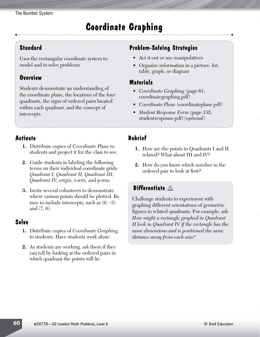# **Coordinate Graphing**

#### **Standard**

Uses the rectangular coordinate system to model and to solve problems

### **Overview**

Students demonstrate an understanding of the coordinate plane, the locations of the four quadrants, the signs of ordered pairs located within each quadrant, and the concept of intercepts.

## **Problem-Solving Strategies**

- Act it out or use manipulatives
- Organize information in a picture, list, table, graph, or diagram

#### **Materials**

- • *Coordinate Graphing* (page 61; coordinategraphing.pdf)
- *Coordinate Plane* (coordinateplane.pdf)
- *Student Response Form* (page 132; studentresponse.pdf*) (optional)*

#### **Activate**

- **1.** Distribute copies of *Coordinate Plane* to students and project it for the class to see.
- **2.** Guide students in labeling the following terms on their individual coordinate grids: *Quadrant I, Quadrant II, Quadrant III, Quadrant IV, origin, x-axis,* and *y-axis*.
- **3.** Invite several volunteers to demonstrate where various points should be plotted. Be sure to include intercepts, such as  $(0, -3)$ and (7, 0).

#### **Solve**

- **1.** Distribute copies of *Coordinate Graphing* to students. Have students work alone.
- **2.** As students are working, ask them if they can tell by looking at the ordered pairs in which quadrant the points will lie.

## **Debrief**

- **1.** How are the points in Quadrants I and II related? What about III and IV?
- **2.** How do you know which number in the ordered pair to look at first?

## **Differentiate** ▲

Challenge students to experiment with graphing different orientations of geometric figures in related quadrants. For example, ask *How might a rectangle graphed in Quadrant II look in Quadrant IV if the rectangle has the same dimensions and is positioned the same distance away from each axis?*